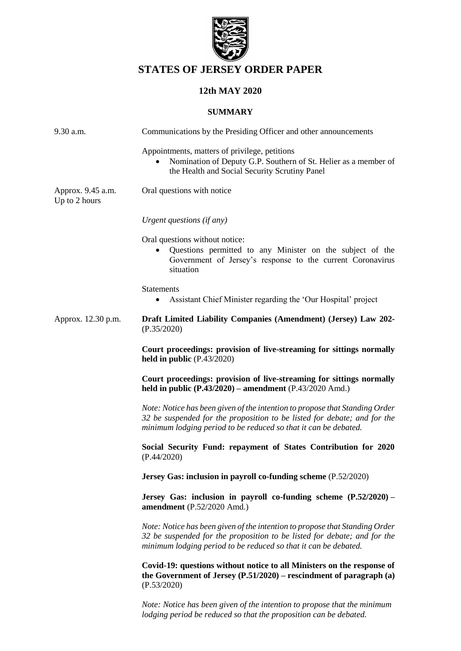

# **STATES OF JERSEY ORDER PAPER**

# **12th MAY 2020**

## **SUMMARY**

| 9.30 a.m.                          | Communications by the Presiding Officer and other announcements                                                                                                                                                            |
|------------------------------------|----------------------------------------------------------------------------------------------------------------------------------------------------------------------------------------------------------------------------|
|                                    | Appointments, matters of privilege, petitions<br>Nomination of Deputy G.P. Southern of St. Helier as a member of<br>the Health and Social Security Scrutiny Panel                                                          |
| Approx. 9.45 a.m.<br>Up to 2 hours | Oral questions with notice                                                                                                                                                                                                 |
|                                    | Urgent questions (if any)                                                                                                                                                                                                  |
|                                    | Oral questions without notice:<br>Questions permitted to any Minister on the subject of the<br>Government of Jersey's response to the current Coronavirus<br>situation                                                     |
|                                    | <b>Statements</b><br>Assistant Chief Minister regarding the 'Our Hospital' project                                                                                                                                         |
| Approx. 12.30 p.m.                 | Draft Limited Liability Companies (Amendment) (Jersey) Law 202-<br>(P.35/2020)                                                                                                                                             |
|                                    | Court proceedings: provision of live-streaming for sittings normally<br>held in public $(P.43/2020)$                                                                                                                       |
|                                    | Court proceedings: provision of live-streaming for sittings normally<br>held in public $(P.43/2020)$ – amendment $(P.43/2020$ Amd.)                                                                                        |
|                                    | Note: Notice has been given of the intention to propose that Standing Order<br>32 be suspended for the proposition to be listed for debate; and for the<br>minimum lodging period to be reduced so that it can be debated. |
|                                    | Social Security Fund: repayment of States Contribution for 2020<br>(P.44/2020)                                                                                                                                             |
|                                    | Jersey Gas: inclusion in payroll co-funding scheme (P.52/2020)                                                                                                                                                             |
|                                    | Jersey Gas: inclusion in payroll co-funding scheme $(P.52/2020)$ –<br>amendment (P.52/2020 Amd.)                                                                                                                           |
|                                    | Note: Notice has been given of the intention to propose that Standing Order<br>32 be suspended for the proposition to be listed for debate; and for the<br>minimum lodging period to be reduced so that it can be debated. |
|                                    | Covid-19: questions without notice to all Ministers on the response of<br>the Government of Jersey $(P.51/2020)$ – rescindment of paragraph $(a)$<br>(P.53/2020)                                                           |
|                                    | Note: Notice has been given of the intention to propose that the minimum<br>lodging period be reduced so that the proposition can be debated.                                                                              |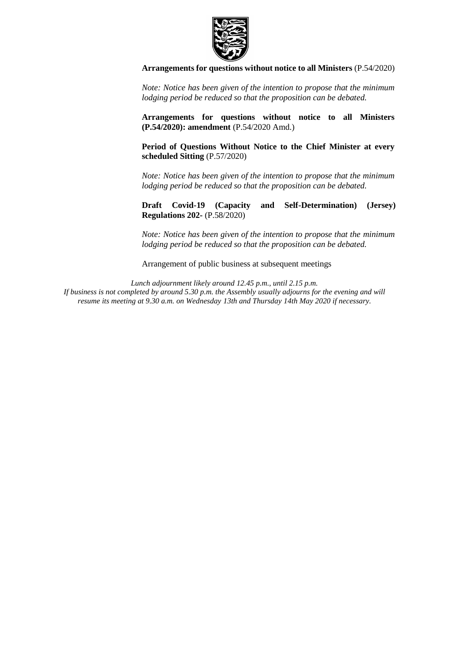

#### **[Arrangements for questions without notice to all Ministers](https://statesassembly.gov.je/AssemblyPropositions/2020/P.54-2020.pdf)** (P.54/2020)

*Note: Notice has been given of the intention to propose that the minimum lodging period be reduced so that the proposition can be debated.*

**[Arrangements for questions without notice to all Ministers](https://statesassembly.gov.je/AssemblyPropositions/2020/P.54-2020Amd.pdf)  [\(P.54/2020\): amendment](https://statesassembly.gov.je/AssemblyPropositions/2020/P.54-2020Amd.pdf)** (P.54/2020 Amd.)

**[Period of Questions Without Notice to the Chief Minister at every](https://statesassembly.gov.je/AssemblyPropositions/2020/P.57-2020.pdf)  [scheduled Sitting](https://statesassembly.gov.je/AssemblyPropositions/2020/P.57-2020.pdf)** (P.57/2020)

*Note: Notice has been given of the intention to propose that the minimum lodging period be reduced so that the proposition can be debated.*

**[Draft Covid-19 \(Capacity and Self-Determination\) \(Jersey\)](https://statesassembly.gov.je/AssemblyPropositions/2020/P.58-2020.pdf)  [Regulations 202-](https://statesassembly.gov.je/AssemblyPropositions/2020/P.58-2020.pdf)** (P.58/2020)

*Note: Notice has been given of the intention to propose that the minimum lodging period be reduced so that the proposition can be debated.*

Arrangement of public business at subsequent meetings

*Lunch adjournment likely around 12.45 p.m., until 2.15 p.m. If business is not completed by around 5.30 p.m. the Assembly usually adjourns for the evening and will resume its meeting at 9.30 a.m. on Wednesday 13th and Thursday 14th May 2020 if necessary.*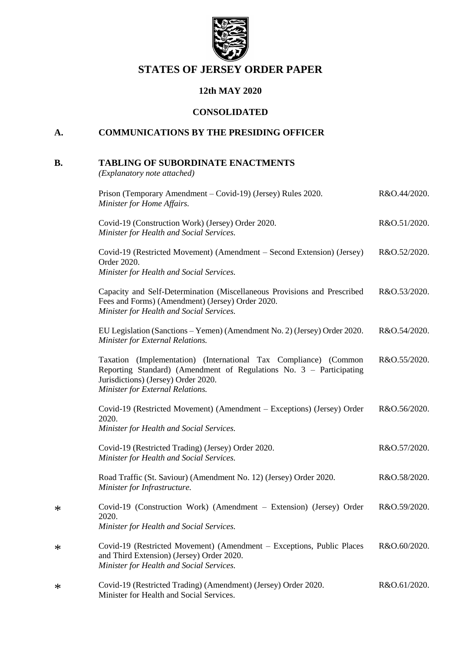

# **STATES OF JERSEY ORDER PAPER**

# **12th MAY 2020**

### **CONSOLIDATED**

# **A. COMMUNICATIONS BY THE PRESIDING OFFICER**

# **B. TABLING OF SUBORDINATE ENACTMENTS**

*(Explanatory note attached)*

\*

\*

\*

| Prison (Temporary Amendment – Covid-19) (Jersey) Rules 2020.<br>Minister for Home Affairs.                                                                                                                         | R&O.44/2020. |
|--------------------------------------------------------------------------------------------------------------------------------------------------------------------------------------------------------------------|--------------|
| Covid-19 (Construction Work) (Jersey) Order 2020.<br>Minister for Health and Social Services.                                                                                                                      | R&O.51/2020. |
| Covid-19 (Restricted Movement) (Amendment – Second Extension) (Jersey)<br>Order 2020.<br>Minister for Health and Social Services.                                                                                  | R&O.52/2020. |
| Capacity and Self-Determination (Miscellaneous Provisions and Prescribed<br>Fees and Forms) (Amendment) (Jersey) Order 2020.<br>Minister for Health and Social Services.                                           | R&O.53/2020. |
| EU Legislation (Sanctions – Yemen) (Amendment No. 2) (Jersey) Order 2020.<br>Minister for External Relations.                                                                                                      | R&O.54/2020. |
| Taxation (Implementation) (International Tax Compliance) (Common<br>Reporting Standard) (Amendment of Regulations No. 3 - Participating<br>Jurisdictions) (Jersey) Order 2020.<br>Minister for External Relations. | R&O.55/2020. |
| Covid-19 (Restricted Movement) (Amendment – Exceptions) (Jersey) Order<br>2020.<br>Minister for Health and Social Services.                                                                                        | R&O.56/2020. |
| Covid-19 (Restricted Trading) (Jersey) Order 2020.<br>Minister for Health and Social Services.                                                                                                                     | R&O.57/2020. |
| Road Traffic (St. Saviour) (Amendment No. 12) (Jersey) Order 2020.<br>Minister for Infrastructure.                                                                                                                 | R&O.58/2020. |
| Covid-19 (Construction Work) (Amendment – Extension) (Jersey) Order<br>2020.<br>Minister for Health and Social Services.                                                                                           | R&O.59/2020. |
| Covid-19 (Restricted Movement) (Amendment – Exceptions, Public Places<br>and Third Extension) (Jersey) Order 2020.<br>Minister for Health and Social Services.                                                     | R&O.60/2020. |
| Covid-19 (Restricted Trading) (Amendment) (Jersey) Order 2020.<br>Minister for Health and Social Services.                                                                                                         | R&O.61/2020. |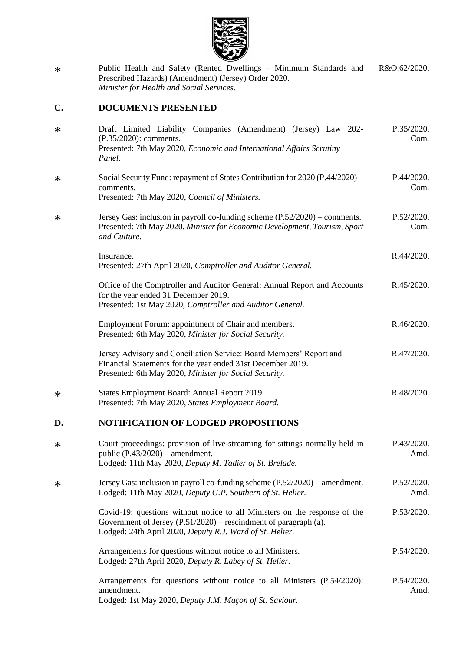

\* Public Health and Safety (Rented Dwellings – Minimum Standards and Prescribed Hazards) (Amendment) (Jersey) Order 2020. *Minister for Health and Social Services.* R&O.62/2020.

# **C. DOCUMENTS PRESENTED**

| $\ast$ | Draft Limited Liability Companies (Amendment) (Jersey) Law 202-<br>(P.35/2020): comments.<br>Presented: 7th May 2020, Economic and International Affairs Scrutiny<br>Panel.                                  | P.35/2020.<br>Com. |
|--------|--------------------------------------------------------------------------------------------------------------------------------------------------------------------------------------------------------------|--------------------|
| $\ast$ | Social Security Fund: repayment of States Contribution for 2020 (P.44/2020) –<br>comments.<br>Presented: 7th May 2020, Council of Ministers.                                                                 | P.44/2020.<br>Com. |
| $\ast$ | Jersey Gas: inclusion in payroll co-funding scheme $(P.52/2020)$ – comments.<br>Presented: 7th May 2020, Minister for Economic Development, Tourism, Sport<br>and Culture.                                   | P.52/2020.<br>Com. |
|        | Insurance.<br>Presented: 27th April 2020, Comptroller and Auditor General.                                                                                                                                   | R.44/2020.         |
|        | Office of the Comptroller and Auditor General: Annual Report and Accounts<br>for the year ended 31 December 2019.<br>Presented: 1st May 2020, Comptroller and Auditor General.                               | R.45/2020.         |
|        | Employment Forum: appointment of Chair and members.<br>Presented: 6th May 2020, Minister for Social Security.                                                                                                | R.46/2020.         |
|        | Jersey Advisory and Conciliation Service: Board Members' Report and<br>Financial Statements for the year ended 31st December 2019.<br>Presented: 6th May 2020, Minister for Social Security.                 | R.47/2020.         |
| ∗      | States Employment Board: Annual Report 2019.<br>Presented: 7th May 2020, States Employment Board.                                                                                                            | R.48/2020.         |
| D.     | <b>NOTIFICATION OF LODGED PROPOSITIONS</b>                                                                                                                                                                   |                    |
| $\ast$ | Court proceedings: provision of live-streaming for sittings normally held in<br>public $(P.43/2020)$ – amendment.<br>Lodged: 11th May 2020, Deputy M. Tadier of St. Brelade.                                 | P.43/2020.<br>Amd. |
| $\ast$ | Jersey Gas: inclusion in payroll co-funding scheme $(P.52/2020)$ – amendment.<br>Lodged: 11th May 2020, Deputy G.P. Southern of St. Helier.                                                                  | P.52/2020.<br>Amd. |
|        | Covid-19: questions without notice to all Ministers on the response of the<br>Government of Jersey $(P.51/2020)$ – rescindment of paragraph (a).<br>Lodged: 24th April 2020, Deputy R.J. Ward of St. Helier. | P.53/2020.         |
|        | Arrangements for questions without notice to all Ministers.<br>Lodged: 27th April 2020, Deputy R. Labey of St. Helier.                                                                                       | P.54/2020.         |
|        | Arrangements for questions without notice to all Ministers (P.54/2020):<br>amendment.<br>Lodged: 1st May 2020, Deputy J.M. Maçon of St. Saviour.                                                             | P.54/2020.<br>Amd. |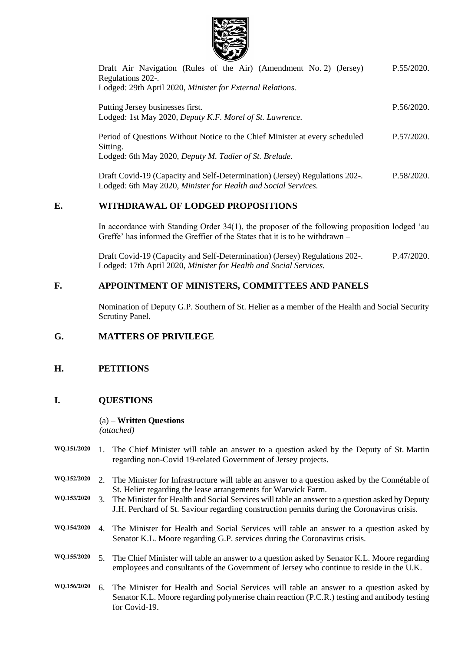

| Draft Air Navigation (Rules of the Air) (Amendment No. 2) (Jersey)<br>Regulations 202-.<br>Lodged: 29th April 2020, Minister for External Relations. | P.55/2020. |
|------------------------------------------------------------------------------------------------------------------------------------------------------|------------|
| Putting Jersey businesses first.<br>Lodged: 1st May 2020, Deputy K.F. Morel of St. Lawrence.                                                         | P.56/2020. |
| Period of Questions Without Notice to the Chief Minister at every scheduled<br>Sitting.<br>Lodged: 6th May 2020, Deputy M. Tadier of St. Brelade.    | P.57/2020. |
| Draft Covid-19 (Capacity and Self-Determination) (Jersey) Regulations 202-.<br>Lodged: 6th May 2020, Minister for Health and Social Services.        | P.58/2020. |

## **E. WITHDRAWAL OF LODGED PROPOSITIONS**

In accordance with Standing Order 34(1), the proposer of the following proposition lodged 'au Greffe' has informed the Greffier of the States that it is to be withdrawn –

[Draft Covid-19 \(Capacity and Self-Determination\) \(Jersey\) Regulations 202-.](https://statesassembly.gov.je/AssemblyPropositions/2020/P.47-2020.pdf) Lodged: 17th April 2020, *[Minister for Health and Social Services.](https://statesassembly.gov.je/AssemblyPropositions/2020/P.47-2020.pdf)* [P.47/2020.](https://statesassembly.gov.je/AssemblyPropositions/2020/P.47-2020.pdf)

# **F. APPOINTMENT OF MINISTERS, COMMITTEES AND PANELS**

Nomination of Deputy G.P. Southern of St. Helier as a member of the Health and Social Security Scrutiny Panel.

# **G. MATTERS OF PRIVILEGE**

# **H. PETITIONS**

# **I. QUESTIONS**

#### (a) – **Written Questions** *(attached)*

- **WQ.151/2020** 1. The Chief Minister will table an answer to a question asked by the Deputy of St. Martin regarding non-Covid 19-related Government of Jersey projects.
- **WQ.152/2020** 2. The Minister for Infrastructure will table an answer to a question asked by the Connétable of St. Helier regarding the lease arrangements for Warwick Farm.
- **WQ.153/2020** 3. The Minister for Health and Social Services will table an answer to a question asked by Deputy J.H. Perchard of St. Saviour regarding construction permits during the Coronavirus crisis.
- **WQ.154/2020** 4. The Minister for Health and Social Services will table an answer to a question asked by Senator K.L. Moore regarding G.P. services during the Coronavirus crisis.
- **WQ.155/2020** 5. The Chief Minister will table an answer to a question asked by Senator K.L. Moore regarding employees and consultants of the Government of Jersey who continue to reside in the U.K.
- **WQ.156/2020** 6. The Minister for Health and Social Services will table an answer to a question asked by Senator K.L. Moore regarding polymerise chain reaction (P.C.R.) testing and antibody testing for Covid-19.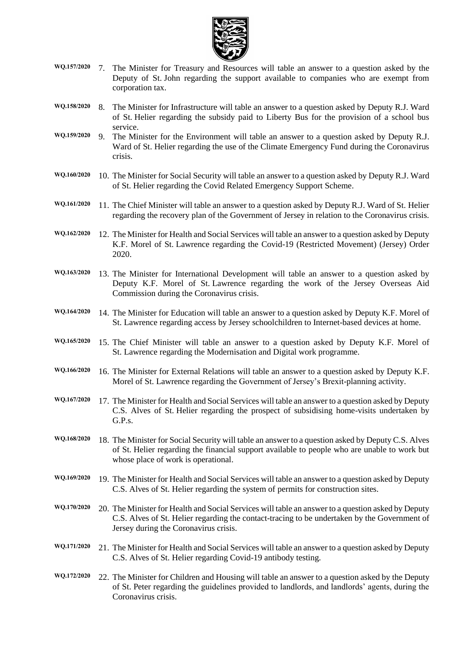

- **WQ.157/2020** 7. The Minister for Treasury and Resources will table an answer to a question asked by the Deputy of St. John regarding the support available to companies who are exempt from corporation tax.
- **WQ.158/2020** 8. The Minister for Infrastructure will table an answer to a question asked by Deputy R.J. Ward of St. Helier regarding the subsidy paid to Liberty Bus for the provision of a school bus service.
- **WQ.159/2020** 9. The Minister for the Environment will table an answer to a question asked by Deputy R.J. Ward of St. Helier regarding the use of the Climate Emergency Fund during the Coronavirus crisis.
- **WQ.160/2020** 10. The Minister for Social Security will table an answer to a question asked by Deputy R.J. Ward of St. Helier regarding the Covid Related Emergency Support Scheme.
- **WQ.161/2020** 11. The Chief Minister will table an answer to a question asked by Deputy R.J. Ward of St. Helier regarding the recovery plan of the Government of Jersey in relation to the Coronavirus crisis.
- **WQ.162/2020** 12. The Minister for Health and Social Services will table an answer to a question asked by Deputy K.F. Morel of St. Lawrence regarding the Covid-19 (Restricted Movement) (Jersey) Order 2020.
- **WQ.163/2020** 13. The Minister for International Development will table an answer to a question asked by Deputy K.F. Morel of St. Lawrence regarding the work of the Jersey Overseas Aid Commission during the Coronavirus crisis.
- **WQ.164/2020** 14. The Minister for Education will table an answer to a question asked by Deputy K.F. Morel of St. Lawrence regarding access by Jersey schoolchildren to Internet-based devices at home.
- **WQ.165/2020** 15. The Chief Minister will table an answer to a question asked by Deputy K.F. Morel of St. Lawrence regarding the Modernisation and Digital work programme.
- **WQ.166/2020** 16. The Minister for External Relations will table an answer to a question asked by Deputy K.F. Morel of St. Lawrence regarding the Government of Jersey's Brexit-planning activity.
- **WQ.167/2020** 17. The Minister for Health and Social Services will table an answer to a question asked by Deputy C.S. Alves of St. Helier regarding the prospect of subsidising home-visits undertaken by G.P.s.
- **WQ.168/2020** 18. The Minister for Social Security will table an answer to a question asked by Deputy C.S. Alves of St. Helier regarding the financial support available to people who are unable to work but whose place of work is operational.
- **WQ.169/2020** 19. The Minister for Health and Social Services will table an answer to a question asked by Deputy C.S. Alves of St. Helier regarding the system of permits for construction sites.
- **WQ.170/2020** 20. The Minister for Health and Social Services will table an answer to a question asked by Deputy C.S. Alves of St. Helier regarding the contact-tracing to be undertaken by the Government of Jersey during the Coronavirus crisis.
- **WQ.171/2020** 21. The Minister for Health and Social Services will table an answer to a question asked by Deputy C.S. Alves of St. Helier regarding Covid-19 antibody testing.
- **WQ.172/2020** 22. The Minister for Children and Housing will table an answer to a question asked by the Deputy of St. Peter regarding the guidelines provided to landlords, and landlords' agents, during the Coronavirus crisis.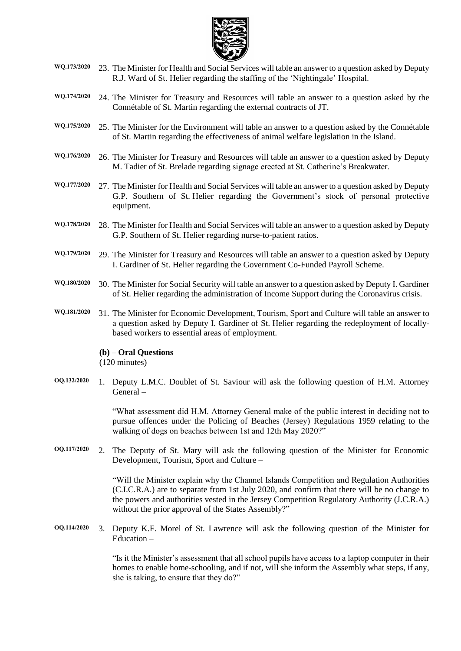

- **WQ.173/2020** 23. The Minister for Health and Social Services will table an answer to a question asked by Deputy R.J. Ward of St. Helier regarding the staffing of the 'Nightingale' Hospital.
- **WQ.174/2020** 24. The Minister for Treasury and Resources will table an answer to a question asked by the Connétable of St. Martin regarding the external contracts of JT.
- **WQ.175/2020** 25. The Minister for the Environment will table an answer to a question asked by the Connétable of St. Martin regarding the effectiveness of animal welfare legislation in the Island.
- **WQ.176/2020** 26. The Minister for Treasury and Resources will table an answer to a question asked by Deputy M. Tadier of St. Brelade regarding signage erected at St. Catherine's Breakwater.
- **WQ.177/2020** 27. The Minister for Health and Social Services will table an answer to a question asked by Deputy G.P. Southern of St. Helier regarding the Government's stock of personal protective equipment.
- **WQ.178/2020** 28. The Minister for Health and Social Services will table an answer to a question asked by Deputy G.P. Southern of St. Helier regarding nurse-to-patient ratios.
- **WQ.179/2020** 29. The Minister for Treasury and Resources will table an answer to a question asked by Deputy I. Gardiner of St. Helier regarding the Government Co-Funded Payroll Scheme.
- **WQ.180/2020** 30. The Minister for Social Security will table an answer to a question asked by Deputy I. Gardiner of St. Helier regarding the administration of Income Support during the Coronavirus crisis.
- **WQ.181/2020** 31. The Minister for Economic Development, Tourism, Sport and Culture will table an answer to a question asked by Deputy I. Gardiner of St. Helier regarding the redeployment of locallybased workers to essential areas of employment.

# **(b) – Oral Questions**

(120 minutes)

**OQ.132/2020** 1. Deputy L.M.C. Doublet of St. Saviour will ask the following question of H.M. Attorney General –

> "What assessment did H.M. Attorney General make of the public interest in deciding not to pursue offences under the Policing of Beaches (Jersey) Regulations 1959 relating to the walking of dogs on beaches between 1st and 12th May 2020?"

**OQ.117/2020** 2. The Deputy of St. Mary will ask the following question of the Minister for Economic Development, Tourism, Sport and Culture –

> "Will the Minister explain why the Channel Islands Competition and Regulation Authorities (C.I.C.R.A.) are to separate from 1st July 2020, and confirm that there will be no change to the powers and authorities vested in the Jersey Competition Regulatory Authority (J.C.R.A.) without the prior approval of the States Assembly?"

**OQ.114/2020** 3. Deputy K.F. Morel of St. Lawrence will ask the following question of the Minister for Education –

> "Is it the Minister's assessment that all school pupils have access to a laptop computer in their homes to enable home-schooling, and if not, will she inform the Assembly what steps, if any, she is taking, to ensure that they do?"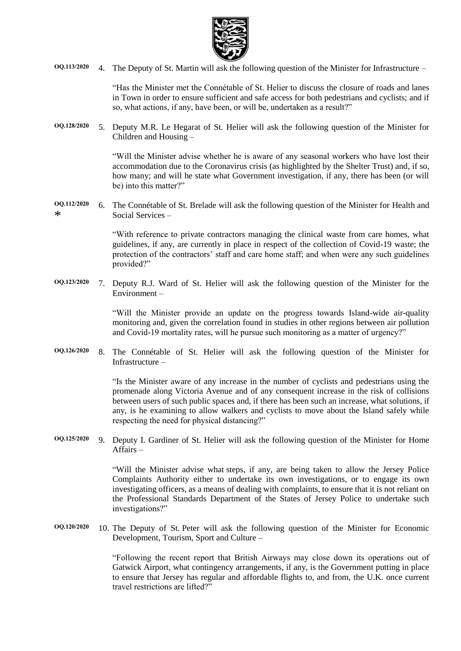

**OQ.113/2020** 4. The Deputy of St. Martin will ask the following question of the Minister for Infrastructure –

"Has the Minister met the Connétable of St. Helier to discuss the closure of roads and lanes in Town in order to ensure sufficient and safe access for both pedestrians and cyclists; and if so, what actions, if any, have been, or will be, undertaken as a result?"

**OQ.128/2020** 5. Deputy M.R. Le Hegarat of St. Helier will ask the following question of the Minister for Children and Housing –

> "Will the Minister advise whether he is aware of any seasonal workers who have lost their accommodation due to the Coronavirus crisis (as highlighted by the Shelter Trust) and, if so, how many; and will he state what Government investigation, if any, there has been (or will be) into this matter?"

**OQ.112/2020** \* 6. The Connétable of St. Brelade will ask the following question of the Minister for Health and Social Services –

> "With reference to private contractors managing the clinical waste from care homes, what guidelines, if any, are currently in place in respect of the collection of Covid-19 waste; the protection of the contractors' staff and care home staff; and when were any such guidelines provided?"

**OQ.123/2020** 7. Deputy R.J. Ward of St. Helier will ask the following question of the Minister for the Environment –

> "Will the Minister provide an update on the progress towards Island-wide air-quality monitoring and, given the correlation found in studies in other regions between air pollution and Covid-19 mortality rates, will he pursue such monitoring as a matter of urgency?"

**OQ.126/2020** 8. The Connétable of St. Helier will ask the following question of the Minister for Infrastructure –

> "Is the Minister aware of any increase in the number of cyclists and pedestrians using the promenade along Victoria Avenue and of any consequent increase in the risk of collisions between users of such public spaces and, if there has been such an increase, what solutions, if any, is he examining to allow walkers and cyclists to move about the Island safely while respecting the need for physical distancing?"

**OQ.125/2020** 9. Deputy I. Gardiner of St. Helier will ask the following question of the Minister for Home Affairs –

> "Will the Minister advise what steps, if any, are being taken to allow the Jersey Police Complaints Authority either to undertake its own investigations, or to engage its own investigating officers, as a means of dealing with complaints, to ensure that it is not reliant on the Professional Standards Department of the States of Jersey Police to undertake such investigations?"

**OQ.120/2020** 10. The Deputy of St. Peter will ask the following question of the Minister for Economic Development, Tourism, Sport and Culture –

> "Following the recent report that British Airways may close down its operations out of Gatwick Airport, what contingency arrangements, if any, is the Government putting in place to ensure that Jersey has regular and affordable flights to, and from, the U.K. once current travel restrictions are lifted?"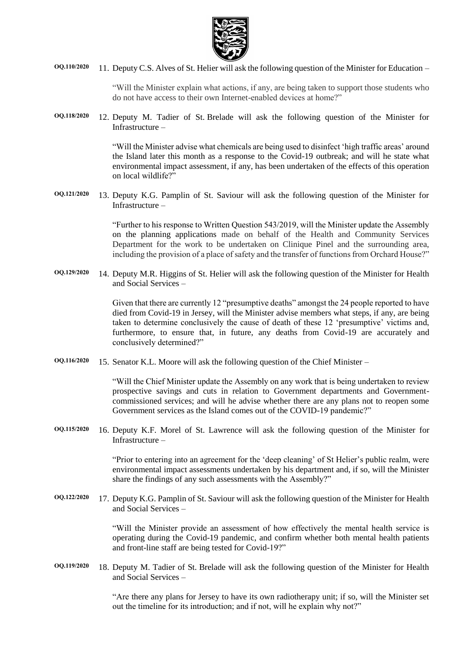

**OQ.110/2020** 11. Deputy C.S. Alves of St. Helier will ask the following question of the Minister for Education –

"Will the Minister explain what actions, if any, are being taken to support those students who do not have access to their own Internet-enabled devices at home?"

**OQ.118/2020** 12. Deputy M. Tadier of St. Brelade will ask the following question of the Minister for Infrastructure –

> "Will the Minister advise what chemicals are being used to disinfect 'high traffic areas' around the Island later this month as a response to the Covid-19 outbreak; and will he state what environmental impact assessment, if any, has been undertaken of the effects of this operation on local wildlife?"

**OQ.121/2020** 13. Deputy K.G. Pamplin of St. Saviour will ask the following question of the Minister for Infrastructure –

> "Further to his response to Written Question 543/2019, will the Minister update the Assembly on the planning applications made on behalf of the Health and Community Services Department for the work to be undertaken on Clinique Pinel and the surrounding area, including the provision of a place of safety and the transfer of functions from Orchard House?"

**OQ.129/2020** 14. Deputy M.R. Higgins of St. Helier will ask the following question of the Minister for Health and Social Services –

> Given that there are currently 12 "presumptive deaths" amongst the 24 people reported to have died from Covid-19 in Jersey, will the Minister advise members what steps, if any, are being taken to determine conclusively the cause of death of these 12 'presumptive' victims and, furthermore, to ensure that, in future, any deaths from Covid-19 are accurately and conclusively determined?"

**OQ.116/2020** 15. Senator K.L. Moore will ask the following question of the Chief Minister –

"Will the Chief Minister update the Assembly on any work that is being undertaken to review prospective savings and cuts in relation to Government departments and Governmentcommissioned services; and will he advise whether there are any plans not to reopen some Government services as the Island comes out of the COVID-19 pandemic?"

**OQ.115/2020** 16. Deputy K.F. Morel of St. Lawrence will ask the following question of the Minister for Infrastructure –

> "Prior to entering into an agreement for the 'deep cleaning' of St Helier's public realm, were environmental impact assessments undertaken by his department and, if so, will the Minister share the findings of any such assessments with the Assembly?"

**OQ.122/2020** 17. Deputy K.G. Pamplin of St. Saviour will ask the following question of the Minister for Health and Social Services –

> "Will the Minister provide an assessment of how effectively the mental health service is operating during the Covid-19 pandemic, and confirm whether both mental health patients and front-line staff are being tested for Covid-19?"

**OQ.119/2020** 18. Deputy M. Tadier of St. Brelade will ask the following question of the Minister for Health and Social Services –

> "Are there any plans for Jersey to have its own radiotherapy unit; if so, will the Minister set out the timeline for its introduction; and if not, will he explain why not?"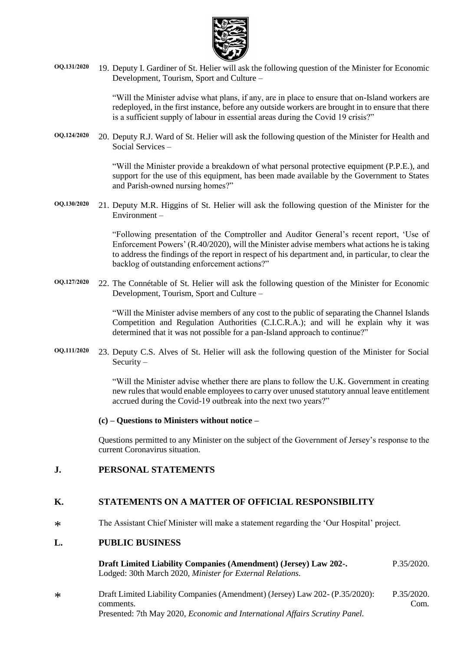

**OQ.131/2020** 19. Deputy I. Gardiner of St. Helier will ask the following question of the Minister for Economic Development, Tourism, Sport and Culture –

> "Will the Minister advise what plans, if any, are in place to ensure that on-Island workers are redeployed, in the first instance, before any outside workers are brought in to ensure that there is a sufficient supply of labour in essential areas during the Covid 19 crisis?"

**OQ.124/2020** 20. Deputy R.J. Ward of St. Helier will ask the following question of the Minister for Health and Social Services –

> "Will the Minister provide a breakdown of what personal protective equipment (P.P.E.), and support for the use of this equipment, has been made available by the Government to States and Parish-owned nursing homes?"

**OQ.130/2020** 21. Deputy M.R. Higgins of St. Helier will ask the following question of the Minister for the Environment –

> "Following presentation of the Comptroller and Auditor General's recent report, 'Use of Enforcement Powers' (R.40/2020), will the Minister advise members what actions he is taking to address the findings of the report in respect of his department and, in particular, to clear the backlog of outstanding enforcement actions?"

**OQ.127/2020** 22. The Connétable of St. Helier will ask the following question of the Minister for Economic Development, Tourism, Sport and Culture –

> "Will the Minister advise members of any cost to the public of separating the Channel Islands Competition and Regulation Authorities (C.I.C.R.A.); and will he explain why it was determined that it was not possible for a pan-Island approach to continue?"

**OQ.111/2020** 23. Deputy C.S. Alves of St. Helier will ask the following question of the Minister for Social Security –

> "Will the Minister advise whether there are plans to follow the U.K. Government in creating new rules that would enable employees to carry over unused statutory annual leave entitlement accrued during the Covid-19 outbreak into the next two years?"

#### **(c) – Questions to Ministers without notice –**

Questions permitted to any Minister on the subject of the Government of Jersey's response to the current Coronavirus situation.

### **J. PERSONAL STATEMENTS**

## **K. STATEMENTS ON A MATTER OF OFFICIAL RESPONSIBILITY**

 $\ast$ The Assistant Chief Minister will make a statement regarding the 'Our Hospital' project.

### **L. PUBLIC BUSINESS**

**Draft Limited Liability Companies [\(Amendment\)](https://statesassembly.gov.je/assemblypropositions/2020/p.35-2020.pdf) (Jersey) Law 202-.** Lodged: 30th March 2020, *Minister for External [Relations.](https://statesassembly.gov.je/assemblypropositions/2020/p.35-2020.pdf)* [P.35/2020.](https://statesassembly.gov.je/assemblypropositions/2020/p.35-2020.pdf)

\* [Draft Limited Liability Companies \(Amendment\) \(Jersey\) Law 202-](https://statesassembly.gov.je/AssemblyPropositions/2020/P.35-2020Com.pdf) (P.35/2020): [comments.](https://statesassembly.gov.je/AssemblyPropositions/2020/P.35-2020Com.pdf) Presented: 7th May 2020, *[Economic and International Affairs Scrutiny Panel.](https://statesassembly.gov.je/AssemblyPropositions/2020/P.35-2020Com.pdf)* [P.35/2020.](https://statesassembly.gov.je/AssemblyPropositions/2020/P.35-2020Com.pdf) [Com.](https://statesassembly.gov.je/AssemblyPropositions/2020/P.35-2020Com.pdf)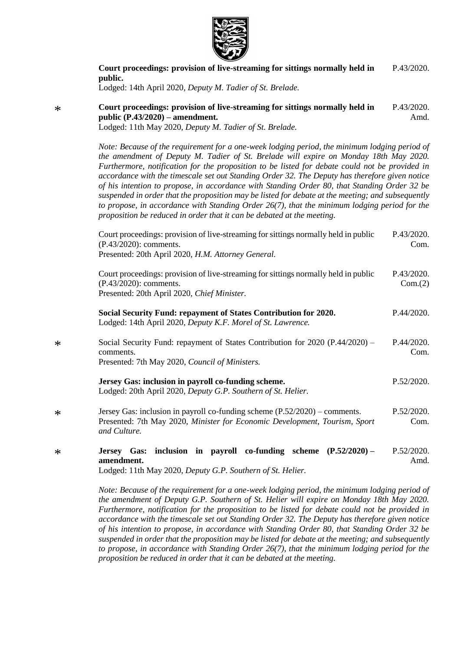

**[Court proceedings: provision of live-streaming for sittings normally held in](https://statesassembly.gov.je/AssemblyPropositions/2020/P.43-2020.pdf)** 

**[public.](https://statesassembly.gov.je/AssemblyPropositions/2020/P.43-2020.pdf)** [Lodged: 14th April 2020,](https://statesassembly.gov.je/AssemblyPropositions/2020/P.43-2020.pdf) *Deputy M. Tadier of St. Brelade.* **[Court proceedings: provision of live-streaming for sittings normally held in](https://statesassembly.gov.je/AssemblyPropositions/2020/P.43-2020Amd.pdf)  [public \(P.43/2020\)](https://statesassembly.gov.je/AssemblyPropositions/2020/P.43-2020Amd.pdf) – amendment.** [Lodged: 11th May 2020,](https://statesassembly.gov.je/AssemblyPropositions/2020/P.43-2020Amd.pdf) *Deputy M. Tadier of St. Brelade.* [P.43/2020.](https://statesassembly.gov.je/AssemblyPropositions/2020/P.43-2020Amd.pdf) [Amd.](https://statesassembly.gov.je/AssemblyPropositions/2020/P.43-2020Amd.pdf) *Note: Because of the requirement for a one-week lodging period, the minimum lodging period of the amendment of Deputy M. Tadier of St. Brelade will expire on Monday 18th May 2020. Furthermore, notification for the proposition to be listed for debate could not be provided in accordance with the timescale set out Standing Order 32. The Deputy has therefore given notice of his intention to propose, in accordance with Standing Order 80, that Standing Order 32 be suspended in order that the proposition may be listed for debate at the meeting; and subsequently to propose, in accordance with Standing Order 26(7), that the minimum lodging period for the proposition be reduced in order that it can be debated at the meeting.*

[P.43/2020.](https://statesassembly.gov.je/AssemblyPropositions/2020/P.43-2020.pdf)

| Court proceedings: provision of live-streaming for sittings normally held in public<br>(P.43/2020): comments.<br>Presented: 20th April 2020, H.M. Attorney General.                                                                                          | P.43/2020.<br>Com.    |
|--------------------------------------------------------------------------------------------------------------------------------------------------------------------------------------------------------------------------------------------------------------|-----------------------|
| Court proceedings: provision of live-streaming for sittings normally held in public<br>(P.43/2020): comments.<br>Presented: 20th April 2020, Chief Minister.                                                                                                 | P.43/2020.<br>Com.(2) |
| Social Security Fund: repayment of States Contribution for 2020.<br>Lodged: 14th April 2020, Deputy K.F. Morel of St. Lawrence.                                                                                                                              | P.44/2020.            |
| Social Security Fund: repayment of States Contribution for 2020 (P.44/2020) –<br>comments.<br>Presented: 7th May 2020, Council of Ministers.                                                                                                                 | P.44/2020.<br>Com.    |
| Jersey Gas: inclusion in payroll co-funding scheme.<br>Lodged: 20th April 2020, Deputy G.P. Southern of St. Helier.                                                                                                                                          | P.52/2020.            |
| Jersey Gas: inclusion in payroll co-funding scheme $(P.52/2020)$ – comments.<br>Presented: 7th May 2020, Minister for Economic Development, Tourism, Sport<br>and Culture.                                                                                   | P.52/2020.<br>Com.    |
| Jersey Gas: inclusion in payroll co-funding scheme (P.52/2020) -<br>amendment.<br>Lodged: 11th May 2020, Deputy G.P. Southern of St. Helier.                                                                                                                 | P.52/2020.<br>Amd.    |
| $\mathbf{M}$ is the contract of $\mathbf{C}$ is the contract of $\mathbf{C}$ is the contract of $\mathbf{C}$ is the contract of $\mathbf{C}$ is the contract of $\mathbf{C}$ is the contract of $\mathbf{C}$ is the contract of $\mathbf{C}$ is the contract |                       |

*Note: Because of the requirement for a one-week lodging period, the minimum lodging period of the amendment of Deputy G.P. Southern of St. Helier will expire on Monday 18th May 2020. Furthermore, notification for the proposition to be listed for debate could not be provided in accordance with the timescale set out Standing Order 32. The Deputy has therefore given notice of his intention to propose, in accordance with Standing Order 80, that Standing Order 32 be suspended in order that the proposition may be listed for debate at the meeting; and subsequently to propose, in accordance with Standing Order 26(7), that the minimum lodging period for the proposition be reduced in order that it can be debated at the meeting.*

\*

\*

\*

\*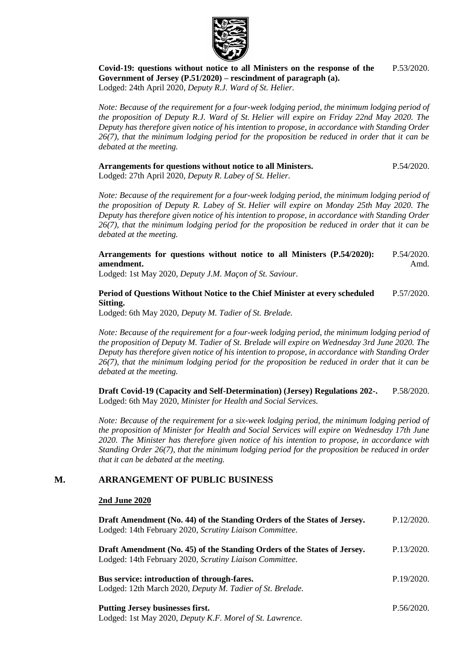

**[Covid-19: questions without notice to all Ministers on the response of the](https://statesassembly.gov.je/AssemblyPropositions/2020/P.53-2020.pdf)  [Government of Jersey \(P.51/2020\)](https://statesassembly.gov.je/AssemblyPropositions/2020/P.53-2020.pdf) – rescindment of paragraph (a).** [Lodged: 24th April 2020,](https://statesassembly.gov.je/AssemblyPropositions/2020/P.53-2020.pdf) *Deputy R.J. Ward of St. Helier.* [P.53/2020.](https://statesassembly.gov.je/AssemblyPropositions/2020/P.53-2020.pdf)

*Note: Because of the requirement for a four-week lodging period, the minimum lodging period of the proposition of Deputy R.J. Ward of St. Helier will expire on Friday 22nd May 2020. The Deputy has therefore given notice of his intention to propose, in accordance with Standing Order 26(7), that the minimum lodging period for the proposition be reduced in order that it can be debated at the meeting.*

**[Arrangements for questions without notice to all Ministers.](https://statesassembly.gov.je/AssemblyPropositions/2020/P.54-2020.pdf)** [P.54/2020.](https://statesassembly.gov.je/AssemblyPropositions/2020/P.54-2020.pdf)

[Lodged: 27th April 2020,](https://statesassembly.gov.je/AssemblyPropositions/2020/P.54-2020.pdf) *Deputy R. Labey of St. Helier.*

*Note: Because of the requirement for a four-week lodging period, the minimum lodging period of the proposition of Deputy R. Labey of St. Helier will expire on Monday 25th May 2020. The Deputy has therefore given notice of his intention to propose, in accordance with Standing Order 26(7), that the minimum lodging period for the proposition be reduced in order that it can be debated at the meeting.*

**[Arrangements for questions without notice](https://statesassembly.gov.je/AssemblyPropositions/2020/P.54-2020Amd.pdf) to all Ministers (P.54/2020): [amendment.](https://statesassembly.gov.je/AssemblyPropositions/2020/P.54-2020Amd.pdf)** [P.54/2020.](https://statesassembly.gov.je/AssemblyPropositions/2020/P.54-2020Amd.pdf) [Amd.](https://statesassembly.gov.je/AssemblyPropositions/2020/P.54-2020Amd.pdf)

Lodged: 1st May 2020, *[Deputy J.M. Maçon of St.](https://statesassembly.gov.je/AssemblyPropositions/2020/P.54-2020Amd.pdf) Saviour.*

#### **[Period of Questions Without Notice to the Chief Minister at every scheduled](https://statesassembly.gov.je/AssemblyPropositions/2020/P.57-2020.pdf)  [Sitting.](https://statesassembly.gov.je/AssemblyPropositions/2020/P.57-2020.pdf)** [P.57/2020.](https://statesassembly.gov.je/AssemblyPropositions/2020/P.57-2020.pdf)

[Lodged: 6th May 2020,](https://statesassembly.gov.je/AssemblyPropositions/2020/P.57-2020.pdf) *Deputy M. Tadier of St. Brelade.*

*Note: Because of the requirement for a four-week lodging period, the minimum lodging period of the proposition of Deputy M. Tadier of St. Brelade will expire on Wednesday 3rd June 2020. The Deputy has therefore given notice of his intention to propose, in accordance with Standing Order 26(7), that the minimum lodging period for the proposition be reduced in order that it can be debated at the meeting.*

**[Draft Covid-19 \(Capacity and Self-Determination\) \(Jersey\) Regulations 202-.](https://statesassembly.gov.je/AssemblyPropositions/2020/P.58-2020.pdf)** Lodged: 6th May 2020, *[Minister for Health and Social Services.](https://statesassembly.gov.je/AssemblyPropositions/2020/P.58-2020.pdf)* [P.58/2020.](https://statesassembly.gov.je/AssemblyPropositions/2020/P.58-2020.pdf)

*Note: Because of the requirement for a six-week lodging period, the minimum lodging period of the proposition of Minister for Health and Social Services will expire on Wednesday 17th June 2020. The Minister has therefore given notice of his intention to propose, in accordance with Standing Order 26(7), that the minimum lodging period for the proposition be reduced in order that it can be debated at the meeting.*

## **M. ARRANGEMENT OF PUBLIC BUSINESS**

Lodged: 1st May 2020, *[Deputy K.F. Morel of St.](https://statesassembly.gov.je/AssemblyPropositions/2020/P.56-2020.pdf) Lawrence.*

### **2nd June 2020**

| Draft Amendment (No. 44) of the Standing Orders of the States of Jersey.<br>Lodged: 14th February 2020, Scrutiny Liaison Committee. | P.12/2020. |
|-------------------------------------------------------------------------------------------------------------------------------------|------------|
| Draft Amendment (No. 45) of the Standing Orders of the States of Jersey.<br>Lodged: 14th February 2020, Scrutiny Liaison Committee. | P.13/2020. |
| Bus service: introduction of through-fares.<br>Lodged: 12th March 2020, Deputy M. Tadier of St. Brelade.                            | P.19/2020. |
| <b>Putting Jersey businesses first.</b>                                                                                             | P.56/2020  |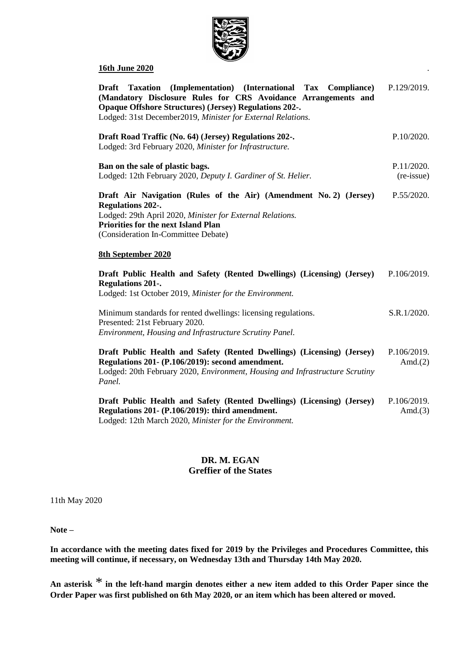

### **16th June 2020** .

| Taxation (Implementation) (International Tax Compliance)<br>Draft<br>(Mandatory Disclosure Rules for CRS Avoidance Arrangements and<br><b>Opaque Offshore Structures) (Jersey) Regulations 202-.</b><br>Lodged: 31st December2019, Minister for External Relations. | P.129/2019.               |
|---------------------------------------------------------------------------------------------------------------------------------------------------------------------------------------------------------------------------------------------------------------------|---------------------------|
| Draft Road Traffic (No. 64) (Jersey) Regulations 202-.<br>Lodged: 3rd February 2020, Minister for Infrastructure.                                                                                                                                                   | P.10/2020.                |
| Ban on the sale of plastic bags.<br>Lodged: 12th February 2020, Deputy I. Gardiner of St. Helier.                                                                                                                                                                   | P.11/2020.<br>(re-issue)  |
| Draft Air Navigation (Rules of the Air) (Amendment No. 2) (Jersey)<br><b>Regulations 202-.</b><br>Lodged: 29th April 2020, Minister for External Relations.<br><b>Priorities for the next Island Plan</b><br>(Consideration In-Committee Debate)                    | P.55/2020.                |
| <b>8th September 2020</b>                                                                                                                                                                                                                                           |                           |
| Draft Public Health and Safety (Rented Dwellings) (Licensing) (Jersey)<br><b>Regulations 201-.</b><br>Lodged: 1st October 2019, Minister for the Environment.                                                                                                       | P.106/2019.               |
| Minimum standards for rented dwellings: licensing regulations.<br>Presented: 21st February 2020.<br>Environment, Housing and Infrastructure Scrutiny Panel.                                                                                                         | S.R.1/2020.               |
| Draft Public Health and Safety (Rented Dwellings) (Licensing) (Jersey)<br>Regulations 201- (P.106/2019): second amendment.<br>Lodged: 20th February 2020, Environment, Housing and Infrastructure Scrutiny<br>Panel.                                                | P.106/2019.<br>Amd. $(2)$ |
| Draft Public Health and Safety (Rented Dwellings) (Licensing) (Jersey)<br>Regulations 201- (P.106/2019): third amendment.<br>Lodged: 12th March 2020, Minister for the Environment.                                                                                 | P.106/2019.<br>Amd. $(3)$ |

### **DR. M. EGAN Greffier of the States**

11th May 2020

**Note –**

**In accordance with the meeting dates fixed for 2019 by the Privileges and Procedures Committee, this meeting will continue, if necessary, on Wednesday 13th and Thursday 14th May 2020.**

**An asterisk** \* **in the left-hand margin denotes either a new item added to this Order Paper since the Order Paper was first published on 6th May 2020, or an item which has been altered or moved.**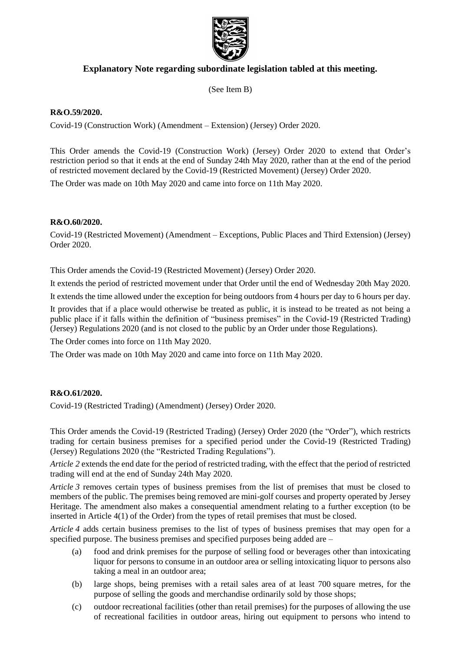

# **Explanatory Note regarding subordinate legislation tabled at this meeting.**

(See Item B)

### **R&O.59/2020.**

Covid-19 (Construction Work) (Amendment – Extension) (Jersey) Order 2020.

This Order amends the Covid-19 (Construction Work) (Jersey) Order 2020 to extend that Order's restriction period so that it ends at the end of Sunday 24th May 2020, rather than at the end of the period of restricted movement declared by the Covid-19 (Restricted Movement) (Jersey) Order 2020.

The Order was made on 10th May 2020 and came into force on 11th May 2020.

### **R&O.60/2020.**

Covid-19 (Restricted Movement) (Amendment – Exceptions, Public Places and Third Extension) (Jersey) Order 2020.

This Order amends the Covid-19 (Restricted Movement) (Jersey) Order 2020.

It extends the period of restricted movement under that Order until the end of Wednesday 20th May 2020.

It extends the time allowed under the exception for being outdoors from 4 hours per day to 6 hours per day.

It provides that if a place would otherwise be treated as public, it is instead to be treated as not being a public place if it falls within the definition of "business premises" in the Covid-19 (Restricted Trading) (Jersey) Regulations 2020 (and is not closed to the public by an Order under those Regulations).

The Order comes into force on 11th May 2020.

The Order was made on 10th May 2020 and came into force on 11th May 2020.

## **R&O.61/2020.**

Covid-19 (Restricted Trading) (Amendment) (Jersey) Order 2020.

This Order amends the Covid-19 (Restricted Trading) (Jersey) Order 2020 (the "Order"), which restricts trading for certain business premises for a specified period under the Covid-19 (Restricted Trading) (Jersey) Regulations 2020 (the "Restricted Trading Regulations").

*Article 2* extends the end date for the period of restricted trading, with the effect that the period of restricted trading will end at the end of Sunday 24th May 2020.

*Article 3* removes certain types of business premises from the list of premises that must be closed to members of the public. The premises being removed are mini-golf courses and property operated by Jersey Heritage. The amendment also makes a consequential amendment relating to a further exception (to be inserted in Article 4(1) of the Order) from the types of retail premises that must be closed.

*Article 4* adds certain business premises to the list of types of business premises that may open for a specified purpose. The business premises and specified purposes being added are –

- (a) food and drink premises for the purpose of selling food or beverages other than intoxicating liquor for persons to consume in an outdoor area or selling intoxicating liquor to persons also taking a meal in an outdoor area;
- (b) large shops, being premises with a retail sales area of at least 700 square metres, for the purpose of selling the goods and merchandise ordinarily sold by those shops;
- (c) outdoor recreational facilities (other than retail premises) for the purposes of allowing the use of recreational facilities in outdoor areas, hiring out equipment to persons who intend to